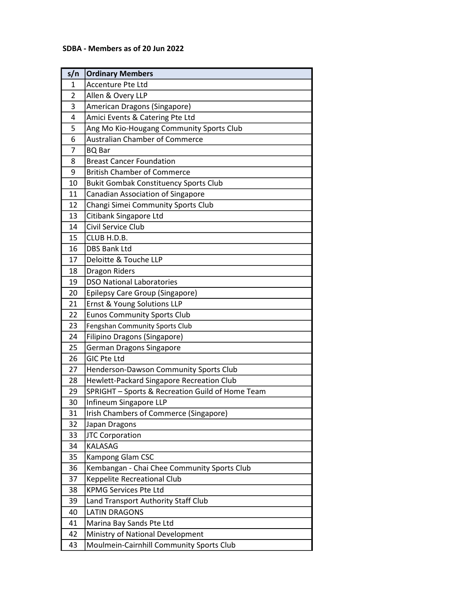## SDBA - Members as of 20 Jun 2022

| s/n            | <b>Ordinary Members</b>                          |
|----------------|--------------------------------------------------|
| $\mathbf{1}$   | Accenture Pte Ltd                                |
| $\overline{2}$ | Allen & Overy LLP                                |
| 3              | American Dragons (Singapore)                     |
| 4              | Amici Events & Catering Pte Ltd                  |
| 5              | Ang Mo Kio-Hougang Community Sports Club         |
| 6              | <b>Australian Chamber of Commerce</b>            |
| 7              | <b>BQ</b> Bar                                    |
| 8              | <b>Breast Cancer Foundation</b>                  |
| 9              | <b>British Chamber of Commerce</b>               |
| 10             | <b>Bukit Gombak Constituency Sports Club</b>     |
| 11             | <b>Canadian Association of Singapore</b>         |
| 12             | Changi Simei Community Sports Club               |
| 13             | Citibank Singapore Ltd                           |
| 14             | Civil Service Club                               |
| 15             | CLUB H.D.B.                                      |
| 16             | <b>DBS Bank Ltd</b>                              |
| 17             | Deloitte & Touche LLP                            |
| 18             | <b>Dragon Riders</b>                             |
| 19             | <b>DSO National Laboratories</b>                 |
| 20             | Epilepsy Care Group (Singapore)                  |
| 21             | Ernst & Young Solutions LLP                      |
| 22             | <b>Eunos Community Sports Club</b>               |
| 23             | Fengshan Community Sports Club                   |
| 24             | Filipino Dragons (Singapore)                     |
| 25             | German Dragons Singapore                         |
| 26             | <b>GIC Pte Ltd</b>                               |
| 27             | Henderson-Dawson Community Sports Club           |
| 28             | Hewlett-Packard Singapore Recreation Club        |
| 29             | SPRIGHT - Sports & Recreation Guild of Home Team |
| 30             | Infineum Singapore LLP                           |
| 31             | Irish Chambers of Commerce (Singapore)           |
| 32             | Japan Dragons                                    |
| 33             | <b>JTC Corporation</b>                           |
| 34             | <b>KALASAG</b>                                   |
| 35             | Kampong Glam CSC                                 |
| 36             | Kembangan - Chai Chee Community Sports Club      |
| 37             | Keppelite Recreational Club                      |
| 38             | <b>KPMG Services Pte Ltd</b>                     |
| 39             | Land Transport Authority Staff Club              |
| 40             | <b>LATIN DRAGONS</b>                             |
| 41             | Marina Bay Sands Pte Ltd                         |
| 42             | Ministry of National Development                 |
| 43             | Moulmein-Cairnhill Community Sports Club         |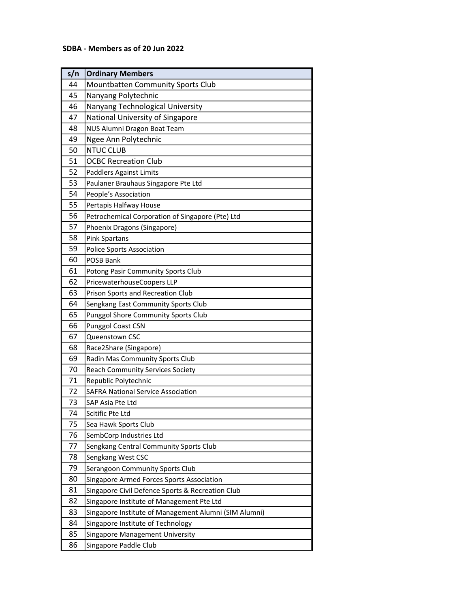## SDBA - Members as of 20 Jun 2022

| s/n | <b>Ordinary Members</b>                               |
|-----|-------------------------------------------------------|
| 44  | <b>Mountbatten Community Sports Club</b>              |
| 45  | Nanyang Polytechnic                                   |
| 46  | Nanyang Technological University                      |
| 47  | National University of Singapore                      |
| 48  | NUS Alumni Dragon Boat Team                           |
| 49  | Ngee Ann Polytechnic                                  |
| 50  | <b>NTUC CLUB</b>                                      |
| 51  | <b>OCBC Recreation Club</b>                           |
| 52  | <b>Paddlers Against Limits</b>                        |
| 53  | Paulaner Brauhaus Singapore Pte Ltd                   |
| 54  | People's Association                                  |
| 55  | Pertapis Halfway House                                |
| 56  | Petrochemical Corporation of Singapore (Pte) Ltd      |
| 57  | Phoenix Dragons (Singapore)                           |
| 58  | <b>Pink Spartans</b>                                  |
| 59  | <b>Police Sports Association</b>                      |
| 60  | <b>POSB Bank</b>                                      |
| 61  | Potong Pasir Community Sports Club                    |
| 62  | PricewaterhouseCoopers LLP                            |
| 63  | Prison Sports and Recreation Club                     |
| 64  | Sengkang East Community Sports Club                   |
| 65  | <b>Punggol Shore Community Sports Club</b>            |
| 66  | <b>Punggol Coast CSN</b>                              |
| 67  | Queenstown CSC                                        |
| 68  | Race2Share (Singapore)                                |
| 69  | Radin Mas Community Sports Club                       |
| 70  | <b>Reach Community Services Society</b>               |
| 71  | Republic Polytechnic                                  |
| 72  | <b>SAFRA National Service Association</b>             |
| 73  | SAP Asia Pte Ltd                                      |
| 74  | Scitific Pte Ltd                                      |
| 75  | Sea Hawk Sports Club                                  |
| 76  | SembCorp Industries Ltd                               |
| 77  | Sengkang Central Community Sports Club                |
| 78  | Sengkang West CSC                                     |
| 79  | Serangoon Community Sports Club                       |
| 80  | Singapore Armed Forces Sports Association             |
| 81  | Singapore Civil Defence Sports & Recreation Club      |
| 82  | Singapore Institute of Management Pte Ltd             |
| 83  | Singapore Institute of Management Alumni (SIM Alumni) |
| 84  | Singapore Institute of Technology                     |
| 85  | Singapore Management University                       |
| 86  | Singapore Paddle Club                                 |